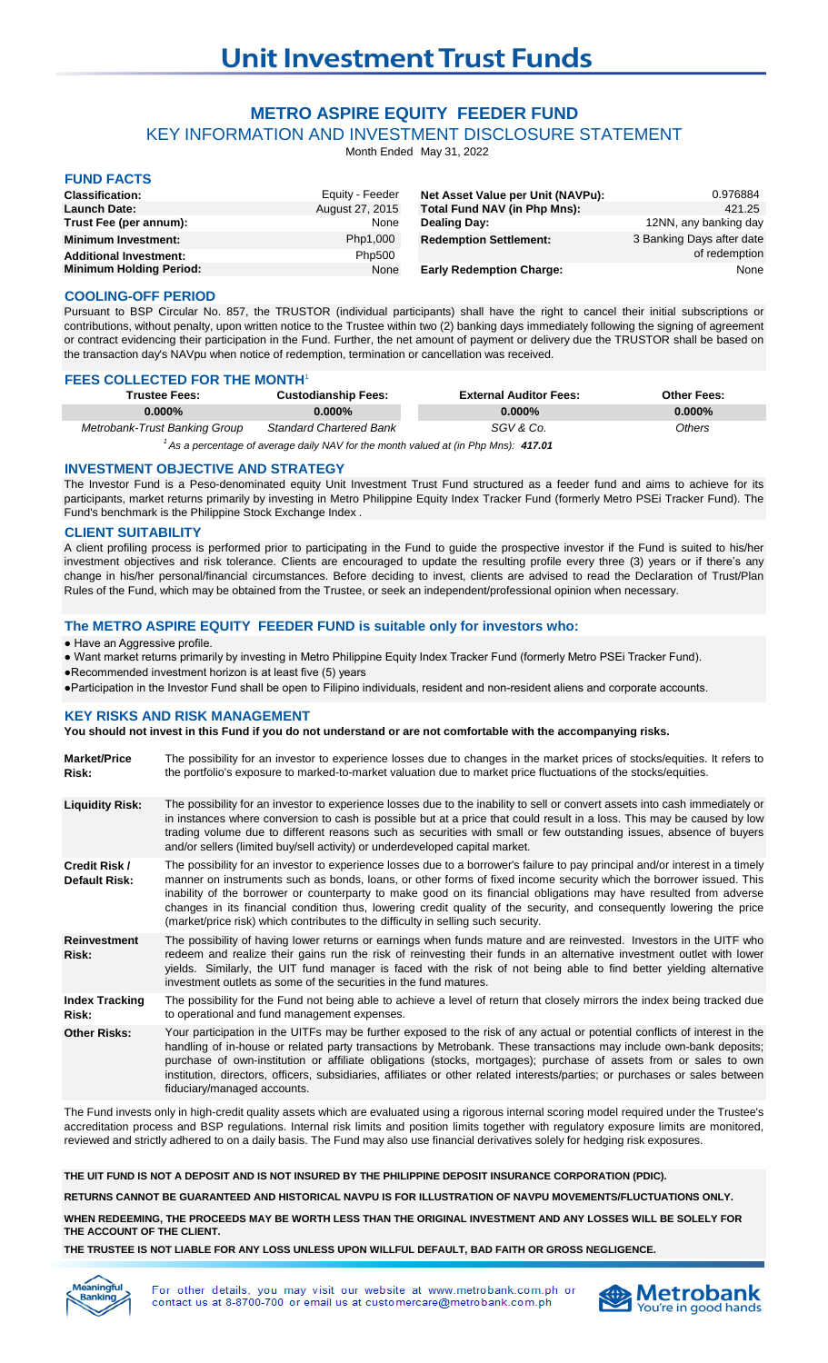# **METRO ASPIRE EQUITY FEEDER FUND**

KEY INFORMATION AND INVESTMENT DISCLOSURE STATEMENT

Month Ended May 31, 2022

# **FUND FACTS**

| .                              |                 |                                     |                           |
|--------------------------------|-----------------|-------------------------------------|---------------------------|
| <b>Classification:</b>         | Equity - Feeder | Net Asset Value per Unit (NAVPu):   | 0.976884                  |
| <b>Launch Date:</b>            | August 27, 2015 | <b>Total Fund NAV (in Php Mns):</b> | 421.25                    |
| Trust Fee (per annum):         | None            | <b>Dealing Day:</b>                 | 12NN, any banking day     |
| <b>Minimum Investment:</b>     | Php1,000        | <b>Redemption Settlement:</b>       | 3 Banking Days after date |
| <b>Additional Investment:</b>  | Php500          |                                     | of redemption             |
| <b>Minimum Holding Period:</b> | None            | <b>Early Redemption Charge:</b>     | None                      |

### **COOLING-OFF PERIOD**

Pursuant to BSP Circular No. 857, the TRUSTOR (individual participants) shall have the right to cancel their initial subscriptions or contributions, without penalty, upon written notice to the Trustee within two (2) banking days immediately following the signing of agreement or contract evidencing their participation in the Fund. Further, the net amount of payment or delivery due the TRUSTOR shall be based on the transaction day's NAVpu when notice of redemption, termination or cancellation was received.

## **FEES COLLECTED FOR THE MONTH'**

| Trustee Fees:                                                                                               | <b>Custodianship Fees:</b>     | <b>External Auditor Fees:</b> | <b>Other Fees:</b> |  |
|-------------------------------------------------------------------------------------------------------------|--------------------------------|-------------------------------|--------------------|--|
| $0.000\%$                                                                                                   | $0.000\%$                      | $0.000\%$                     | $0.000\%$          |  |
| Metrobank-Trust Banking Group                                                                               | <b>Standard Chartered Bank</b> | SGV & Co.                     | <b>Others</b>      |  |
| $1.4 - 1.0$ and $1.4 - 1.0$ and $1.4 - 1.4$ and $1.4 - 1.4$ and $1.4 - 1.4$ and $1.4 - 1.4$ and $1.4 - 1.4$ |                                |                               |                    |  |

<sup>1</sup> As a percentage of average daily NAV for the month valued at (in Php Mns): 417.01

### **INVESTMENT OBJECTIVE AND STRATEGY**

The Investor Fund is a Peso-denominated equity Unit Investment Trust Fund structured as a feeder fund and aims to achieve for its participants, market returns primarily by investing in Metro Philippine Equity Index Tracker Fund (formerly Metro PSEi Tracker Fund). The Fund's benchmark is the Philippine Stock Exchange Index .

### **CLIENT SUITABILITY**

A client profiling process is performed prior to participating in the Fund to guide the prospective investor if the Fund is suited to his/her investment objectives and risk tolerance. Clients are encouraged to update the resulting profile every three (3) years or if there's any change in his/her personal/financial circumstances. Before deciding to invest, clients are advised to read the Declaration of Trust/Plan Rules of the Fund, which may be obtained from the Trustee, or seek an independent/professional opinion when necessary.

### **The METRO ASPIRE EQUITY FEEDER FUND is suitable only for investors who:**

### ● Have an Aggressive profile.

● Want market returns primarily by investing in Metro Philippine Equity Index Tracker Fund (formerly Metro PSEi Tracker Fund).

●Recommended investment horizon is at least five (5) years

●Participation in the Investor Fund shall be open to Filipino individuals, resident and non-resident aliens and corporate accounts.

### **KEY RISKS AND RISK MANAGEMENT**

### **You should not invest in this Fund if you do not understand or are not comfortable with the accompanying risks.**

| <b>Market/Price</b><br>Risk:   | The possibility for an investor to experience losses due to changes in the market prices of stocks/equities. It refers to<br>the portfolio's exposure to marked-to-market valuation due to market price fluctuations of the stocks/equities.                                                                                                                                                                                                                                                                                                                                             |
|--------------------------------|------------------------------------------------------------------------------------------------------------------------------------------------------------------------------------------------------------------------------------------------------------------------------------------------------------------------------------------------------------------------------------------------------------------------------------------------------------------------------------------------------------------------------------------------------------------------------------------|
| <b>Liquidity Risk:</b>         | The possibility for an investor to experience losses due to the inability to sell or convert assets into cash immediately or<br>in instances where conversion to cash is possible but at a price that could result in a loss. This may be caused by low<br>trading volume due to different reasons such as securities with small or few outstanding issues, absence of buyers<br>and/or sellers (limited buy/sell activity) or underdeveloped capital market.                                                                                                                            |
| Credit Risk /<br>Default Risk: | The possibility for an investor to experience losses due to a borrower's failure to pay principal and/or interest in a timely<br>manner on instruments such as bonds, loans, or other forms of fixed income security which the borrower issued. This<br>inability of the borrower or counterparty to make good on its financial obligations may have resulted from adverse<br>changes in its financial condition thus, lowering credit quality of the security, and consequently lowering the price<br>(market/price risk) which contributes to the difficulty in selling such security. |
| <b>Reinvestment</b><br>Risk:   | The possibility of having lower returns or earnings when funds mature and are reinvested. Investors in the UITF who<br>redeem and realize their gains run the risk of reinvesting their funds in an alternative investment outlet with lower<br>yields. Similarly, the UIT fund manager is faced with the risk of not being able to find better yielding alternative<br>investment outlets as some of the securities in the fund matures.                                                                                                                                                |
| <b>Index Tracking</b><br>Risk: | The possibility for the Fund not being able to achieve a level of return that closely mirrors the index being tracked due<br>to operational and fund management expenses.                                                                                                                                                                                                                                                                                                                                                                                                                |
| <b>Other Risks:</b>            | Your participation in the UITFs may be further exposed to the risk of any actual or potential conflicts of interest in the<br>handling of in-house or related party transactions by Metrobank. These transactions may include own-bank deposits;<br>purchase of own-institution or affiliate obligations (stocks, mortgages); purchase of assets from or sales to own<br>institution, directors, officers, subsidiaries, affiliates or other related interests/parties; or purchases or sales between<br>fiduciary/managed accounts.                                                     |

The Fund invests only in high-credit quality assets which are evaluated using a rigorous internal scoring model required under the Trustee's accreditation process and BSP regulations. Internal risk limits and position limits together with regulatory exposure limits are monitored, reviewed and strictly adhered to on a daily basis. The Fund may also use financial derivatives solely for hedging risk exposures.

**THE UIT FUND IS NOT A DEPOSIT AND IS NOT INSURED BY THE PHILIPPINE DEPOSIT INSURANCE CORPORATION (PDIC).**

**RETURNS CANNOT BE GUARANTEED AND HISTORICAL NAVPU IS FOR ILLUSTRATION OF NAVPU MOVEMENTS/FLUCTUATIONS ONLY.**

**WHEN REDEEMING, THE PROCEEDS MAY BE WORTH LESS THAN THE ORIGINAL INVESTMENT AND ANY LOSSES WILL BE SOLELY FOR THE ACCOUNT OF THE CLIENT.**

**THE TRUSTEE IS NOT LIABLE FOR ANY LOSS UNLESS UPON WILLFUL DEFAULT, BAD FAITH OR GROSS NEGLIGENCE.**



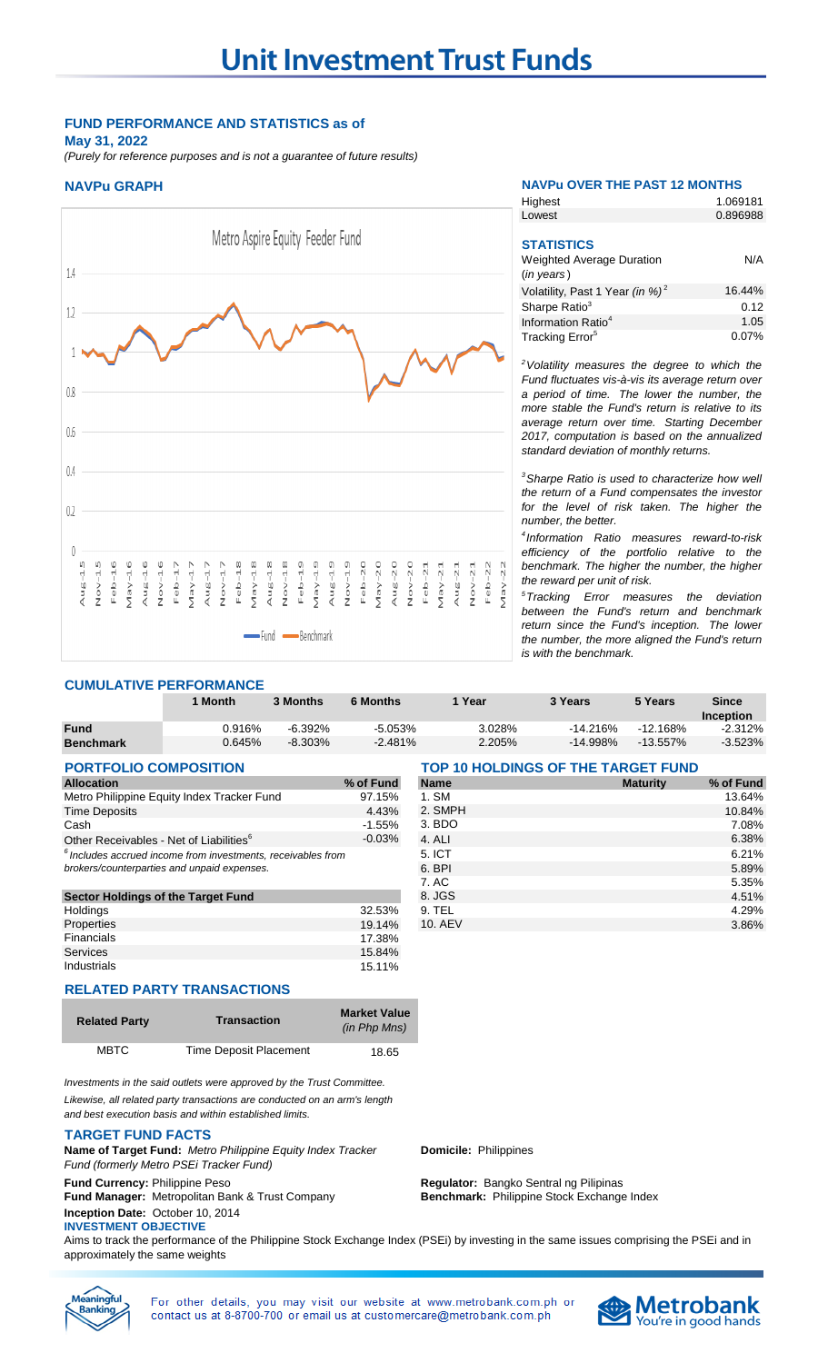### **FUND PERFORMANCE AND STATISTICS as of May 31, 2022**

*(Purely for reference purposes and is not a guarantee of future results)*



### **NAVPu GRAPH NAVPu OVER THE PAST 12 MONTHS**

**Highest** 

1.069181

| Lowest                                      | 0.896988 |
|---------------------------------------------|----------|
|                                             |          |
| <b>STATISTICS</b>                           |          |
| <b>Weighted Average Duration</b>            | N/A      |
| $(in \text{ years})$                        |          |
| Volatility, Past 1 Year (in %) <sup>2</sup> | 16.44%   |
| Sharpe Ratio <sup>3</sup>                   | 0.12     |
| Information Ratio <sup>4</sup>              | 1.05     |
| Tracking Error <sup>5</sup>                 | 0.07%    |
|                                             |          |

*<sup>2</sup>Volatility measures the degree to which the Fund fluctuates vis-à-vis its average return over a period of time. The lower the number, the more stable the Fund's return is relative to its average return over time. Starting December 2017, computation is based on the annualized standard deviation of monthly returns.* 

*<sup>3</sup>Sharpe Ratio is used to characterize how well the return of a Fund compensates the investor for the level of risk taken. The higher the number, the better.*

*4 Information Ratio measures reward-to-risk efficiency of the portfolio relative to the benchmark. The higher the number, the higher the reward per unit of risk.*

*<sup>5</sup>Tracking Error measures the deviation between the Fund's return and benchmark return since the Fund's inception. The lower the number, the more aligned the Fund's return is with the benchmark.* 

## **CUMULATIVE PERFORMANCE**

|                  | <b>Month</b> | 3 Months   | <b>6 Months</b> | Year   | 3 Years     | 5 Years     | Since     |
|------------------|--------------|------------|-----------------|--------|-------------|-------------|-----------|
|                  |              |            |                 |        |             |             | Inception |
| <b>Fund</b>      | 0.916%       | $-6.392\%$ | $-5.053\%$      | 3.028% | $-14.216%$  | $-12.168%$  | $-2.312%$ |
| <b>Benchmark</b> | 0.645%       | $-8.303\%$ | $-2.481%$       | 2.205% | $-14.998\%$ | $-13.557\%$ | $-3.523%$ |

### **PORTFOLIO COMPOSITION TOP 10 HOLDINGS OF THE TARGET FUND**

| <b>Allocation</b>                                              | % of Fund | <b>Name</b> | <b>Maturity</b> |
|----------------------------------------------------------------|-----------|-------------|-----------------|
| Metro Philippine Equity Index Tracker Fund                     | 97.15%    | 1. SM       |                 |
| <b>Time Deposits</b>                                           | 4.43%     | 2. SMPH     |                 |
| Cash                                                           | $-1.55%$  | 3. BDO      |                 |
| Other Receivables - Net of Liabilities <sup>6</sup>            | $-0.03%$  | 4. ALI      |                 |
| $6$ Includes accrued income from investments, receivables from |           | 5. ICT      |                 |
| brokers/counterparties and unpaid expenses.                    |           | 6. BPI      |                 |
|                                                                |           | 7. AC       |                 |
| <b>Sector Holdings of the Target Fund</b>                      |           | 8. JGS      |                 |
| Holdings                                                       | 32.53%    | 9. TEL      |                 |
| Properties                                                     | 19.14%    | 10. AEV     |                 |
| Ethnology of a fact                                            | $1 - 000$ |             |                 |

### **RELATED PARTY TRANSACTIONS**

| <b>Related Party</b> | <b>Transaction</b>     | <b>Market Value</b><br>(in Php Mns) |
|----------------------|------------------------|-------------------------------------|
| <b>MBTC</b>          | Time Deposit Placement | 18.65                               |

Financials **17.38%** Services 15.84% Industrials 15.11%

*Investments in the said outlets were approved by the Trust Committee. Likewise, all related party transactions are conducted on an arm's length and best execution basis and within established limits.*

### **TARGET FUND FACTS**

**Name of Target Fund:** *Metro Philippine Equity Index Tracker Fund (formerly Metro PSEi Tracker Fund)*

**Fund Manager:** Metropolitan Bank & Trust Company **Inception Date:** October 10, 2014

### **INVESTMENT OBJECTIVE**

**Fund Currency:** Philippine Peso **Regulator:** Bangko Sentral ng Pilipinas

**Domicile:** Philippines

**Benchmark:** Philippine Stock Exchange Index

Aims to track the performance of the Philippine Stock Exchange Index (PSEi) by investing in the same issues comprising the PSEi and in approximately the same weights